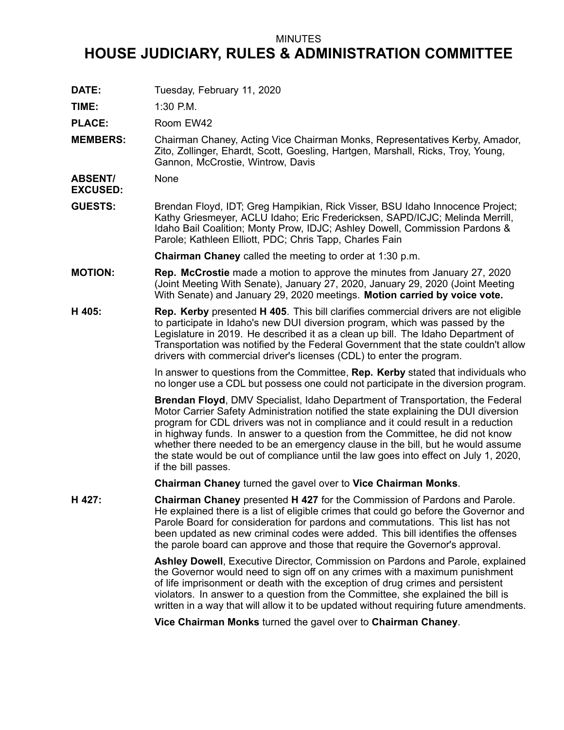## MINUTES

## **HOUSE JUDICIARY, RULES & ADMINISTRATION COMMITTEE**

**DATE:** Tuesday, February 11, 2020

**TIME:** 1:30 P.M.

PLACE: Room EW42

**MEMBERS:** Chairman Chaney, Acting Vice Chairman Monks, Representatives Kerby, Amador, Zito, Zollinger, Ehardt, Scott, Goesling, Hartgen, Marshall, Ricks, Troy, Young, Gannon, McCrostie, Wintrow, Davis

**ABSENT/ EXCUSED:** None

**GUESTS:** Brendan Floyd, IDT; Greg Hampikian, Rick Visser, BSU Idaho Innocence Project; Kathy Griesmeyer, ACLU Idaho; Eric Fredericksen, SAPD/ICJC; Melinda Merrill, Idaho Bail Coalition; Monty Prow, IDJC; Ashley Dowell, Commission Pardons & Parole; Kathleen Elliott, PDC; Chris Tapp, Charles Fain

**Chairman Chaney** called the meeting to order at 1:30 p.m.

- **MOTION: Rep. McCrostie** made <sup>a</sup> motion to approve the minutes from January 27, 2020 (Joint Meeting With Senate), January 27, 2020, January 29, 2020 (Joint Meeting With Senate) and January 29, 2020 meetings. **Motion carried by voice vote.**
- **H 405: Rep. Kerby** presented **H 405**. This bill clarifies commercial drivers are not eligible to participate in Idaho's new DUI diversion program, which was passed by the Legislature in 2019. He described it as <sup>a</sup> clean up bill. The Idaho Department of Transportation was notified by the Federal Government that the state couldn't allow drivers with commercial driver's licenses (CDL) to enter the program.

In answer to questions from the Committee, **Rep. Kerby** stated that individuals who no longer use <sup>a</sup> CDL but possess one could not participate in the diversion program.

**Brendan Floyd**, DMV Specialist, Idaho Department of Transportation, the Federal Motor Carrier Safety Administration notified the state explaining the DUI diversion program for CDL drivers was not in compliance and it could result in <sup>a</sup> reduction in highway funds. In answer to <sup>a</sup> question from the Committee, he did not know whether there needed to be an emergency clause in the bill, but he would assume the state would be out of compliance until the law goes into effect on July 1, 2020, if the bill passes.

**Chairman Chaney** turned the gavel over to **Vice Chairman Monks**.

**H 427: Chairman Chaney** presented **H 427** for the Commission of Pardons and Parole. He explained there is <sup>a</sup> list of eligible crimes that could go before the Governor and Parole Board for consideration for pardons and commutations. This list has not been updated as new criminal codes were added. This bill identifies the offenses the parole board can approve and those that require the Governor's approval.

> **Ashley Dowell**, Executive Director, Commission on Pardons and Parole, explained the Governor would need to sign off on any crimes with <sup>a</sup> maximum punishment of life imprisonment or death with the exception of drug crimes and persistent violators. In answer to <sup>a</sup> question from the Committee, she explained the bill is written in <sup>a</sup> way that will allow it to be updated without requiring future amendments.

**Vice Chairman Monks** turned the gavel over to **Chairman Chaney**.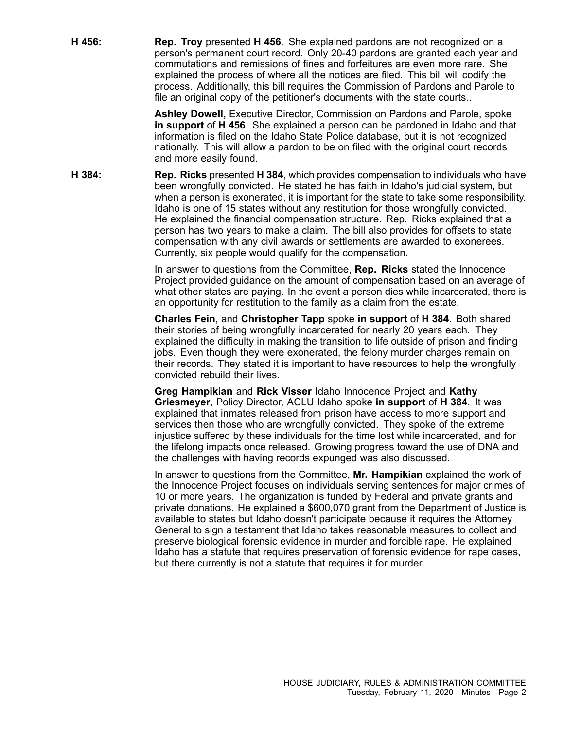**H 456: Rep. Troy** presented **H 456**. She explained pardons are not recognized on <sup>a</sup> person's permanent court record. Only 20-40 pardons are granted each year and commutations and remissions of fines and forfeitures are even more rare. She explained the process of where all the notices are filed. This bill will codify the process. Additionally, this bill requires the Commission of Pardons and Parole to file an original copy of the petitioner's documents with the state courts..

> **Ashley Dowell,** Executive Director, Commission on Pardons and Parole, spoke **in support** of **H 456**. She explained <sup>a</sup> person can be pardoned in Idaho and that information is filed on the Idaho State Police database, but it is not recognized nationally. This will allow <sup>a</sup> pardon to be on filed with the original court records and more easily found.

**H 384: Rep. Ricks** presented **H 384**, which provides compensation to individuals who have been wrongfully convicted. He stated he has faith in Idaho's judicial system, but when <sup>a</sup> person is exonerated, it is important for the state to take some responsibility. Idaho is one of 15 states without any restitution for those wrongfully convicted. He explained the financial compensation structure. Rep. Ricks explained that <sup>a</sup> person has two years to make <sup>a</sup> claim. The bill also provides for offsets to state compensation with any civil awards or settlements are awarded to exonerees. Currently, six people would qualify for the compensation.

> In answer to questions from the Committee, **Rep. Ricks** stated the Innocence Project provided guidance on the amount of compensation based on an average of what other states are paying. In the event <sup>a</sup> person dies while incarcerated, there is an opportunity for restitution to the family as <sup>a</sup> claim from the estate.

**Charles Fein**, and **Christopher Tapp** spoke **in support** of **H 384**. Both shared their stories of being wrongfully incarcerated for nearly 20 years each. They explained the difficulty in making the transition to life outside of prison and finding jobs. Even though they were exonerated, the felony murder charges remain on their records. They stated it is important to have resources to help the wrongfully convicted rebuild their lives.

**Greg Hampikian** and **Rick Visser** Idaho Innocence Project and **Kathy Griesmeyer**, Policy Director, ACLU Idaho spoke **in support** of **H 384**. It was explained that inmates released from prison have access to more support and services then those who are wrongfully convicted. They spoke of the extreme injustice suffered by these individuals for the time lost while incarcerated, and for the lifelong impacts once released. Growing progress toward the use of DNA and the challenges with having records expunged was also discussed.

In answer to questions from the Committee, **Mr. Hampikian** explained the work of the Innocence Project focuses on individuals serving sentences for major crimes of 10 or more years. The organization is funded by Federal and private grants and private donations. He explained <sup>a</sup> \$600,070 grant from the Department of Justice is available to states but Idaho doesn't participate because it requires the Attorney General to sign <sup>a</sup> testament that Idaho takes reasonable measures to collect and preserve biological forensic evidence in murder and forcible rape. He explained Idaho has <sup>a</sup> statute that requires preservation of forensic evidence for rape cases, but there currently is not <sup>a</sup> statute that requires it for murder.